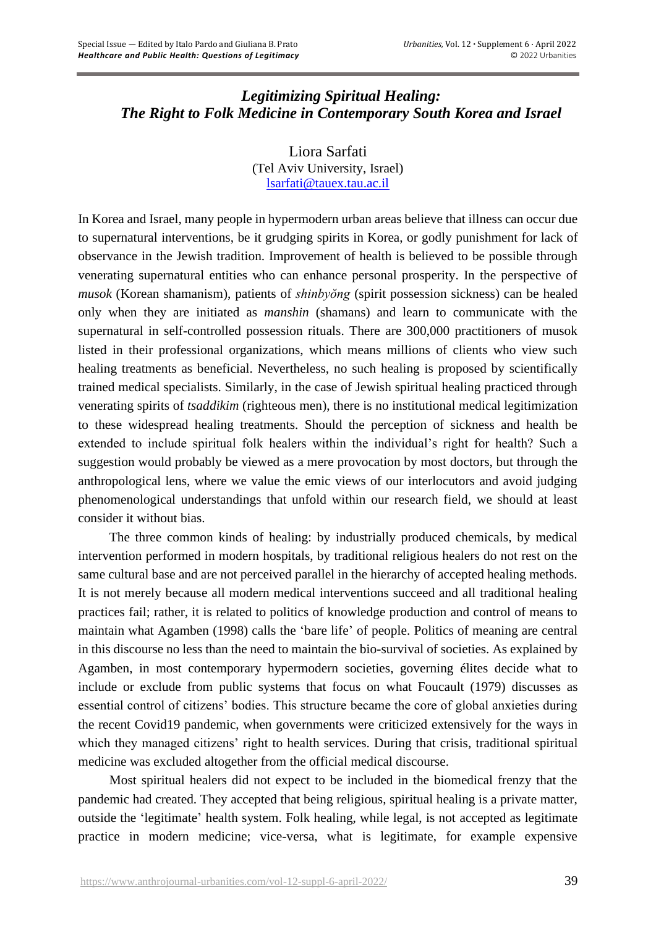# *Legitimizing Spiritual Healing: The Right to Folk Medicine in Contemporary South Korea and Israel*

Liora Sarfati (Tel Aviv University, Israel) [lsarfati@tauex.tau.ac.il](mailto:lsarfati@tauex.tau.ac.il)

In Korea and Israel, many people in hypermodern urban areas believe that illness can occur due to supernatural interventions, be it grudging spirits in Korea, or godly punishment for lack of observance in the Jewish tradition. Improvement of health is believed to be possible through venerating supernatural entities who can enhance personal prosperity. In the perspective of *musok* (Korean shamanism), patients of *shinbyŏng* (spirit possession sickness) can be healed only when they are initiated as *manshin* (shamans) and learn to communicate with the supernatural in self-controlled possession rituals. There are 300,000 practitioners of musok listed in their professional organizations, which means millions of clients who view such healing treatments as beneficial. Nevertheless, no such healing is proposed by scientifically trained medical specialists. Similarly, in the case of Jewish spiritual healing practiced through venerating spirits of *tsaddikim* (righteous men), there is no institutional medical legitimization to these widespread healing treatments. Should the perception of sickness and health be extended to include spiritual folk healers within the individual's right for health? Such a suggestion would probably be viewed as a mere provocation by most doctors, but through the anthropological lens, where we value the emic views of our interlocutors and avoid judging phenomenological understandings that unfold within our research field, we should at least consider it without bias.

The three common kinds of healing: by industrially produced chemicals, by medical intervention performed in modern hospitals, by traditional religious healers do not rest on the same cultural base and are not perceived parallel in the hierarchy of accepted healing methods. It is not merely because all modern medical interventions succeed and all traditional healing practices fail; rather, it is related to politics of knowledge production and control of means to maintain what Agamben (1998) calls the 'bare life' of people. Politics of meaning are central in this discourse no less than the need to maintain the bio-survival of societies. As explained by Agamben, in most contemporary hypermodern societies, governing élites decide what to include or exclude from public systems that focus on what Foucault (1979) discusses as essential control of citizens' bodies. This structure became the core of global anxieties during the recent Covid19 pandemic, when governments were criticized extensively for the ways in which they managed citizens' right to health services. During that crisis, traditional spiritual medicine was excluded altogether from the official medical discourse.

Most spiritual healers did not expect to be included in the biomedical frenzy that the pandemic had created. They accepted that being religious, spiritual healing is a private matter, outside the 'legitimate' health system. Folk healing, while legal, is not accepted as legitimate practice in modern medicine; vice-versa, what is legitimate, for example expensive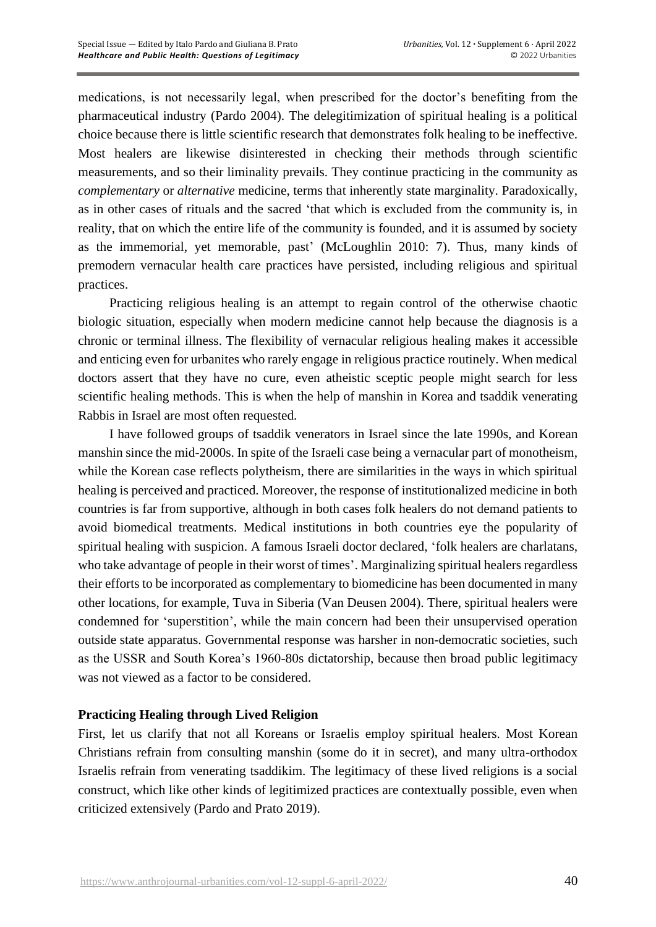medications, is not necessarily legal, when prescribed for the doctor's benefiting from the pharmaceutical industry (Pardo 2004). The delegitimization of spiritual healing is a political choice because there is little scientific research that demonstrates folk healing to be ineffective. Most healers are likewise disinterested in checking their methods through scientific measurements, and so their liminality prevails. They continue practicing in the community as *complementary* or *alternative* medicine, terms that inherently state marginality. Paradoxically, as in other cases of rituals and the sacred 'that which is excluded from the community is, in reality, that on which the entire life of the community is founded, and it is assumed by society as the immemorial, yet memorable, past' (McLoughlin 2010: 7). Thus, many kinds of premodern vernacular health care practices have persisted, including religious and spiritual practices.

Practicing religious healing is an attempt to regain control of the otherwise chaotic biologic situation, especially when modern medicine cannot help because the diagnosis is a chronic or terminal illness. The flexibility of vernacular religious healing makes it accessible and enticing even for urbanites who rarely engage in religious practice routinely. When medical doctors assert that they have no cure, even atheistic sceptic people might search for less scientific healing methods. This is when the help of manshin in Korea and tsaddik venerating Rabbis in Israel are most often requested.

I have followed groups of tsaddik venerators in Israel since the late 1990s, and Korean manshin since the mid-2000s. In spite of the Israeli case being a vernacular part of monotheism, while the Korean case reflects polytheism, there are similarities in the ways in which spiritual healing is perceived and practiced. Moreover, the response of institutionalized medicine in both countries is far from supportive, although in both cases folk healers do not demand patients to avoid biomedical treatments. Medical institutions in both countries eye the popularity of spiritual healing with suspicion. A famous Israeli doctor declared, 'folk healers are charlatans, who take advantage of people in their worst of times'. Marginalizing spiritual healers regardless their efforts to be incorporated as complementary to biomedicine has been documented in many other locations, for example, Tuva in Siberia (Van Deusen 2004). There, spiritual healers were condemned for 'superstition', while the main concern had been their unsupervised operation outside state apparatus. Governmental response was harsher in non-democratic societies, such as the USSR and South Korea's 1960-80s dictatorship, because then broad public legitimacy was not viewed as a factor to be considered.

## **Practicing Healing through Lived Religion**

First, let us clarify that not all Koreans or Israelis employ spiritual healers. Most Korean Christians refrain from consulting manshin (some do it in secret), and many ultra-orthodox Israelis refrain from venerating tsaddikim. The legitimacy of these lived religions is a social construct, which like other kinds of legitimized practices are contextually possible, even when criticized extensively (Pardo and Prato 2019).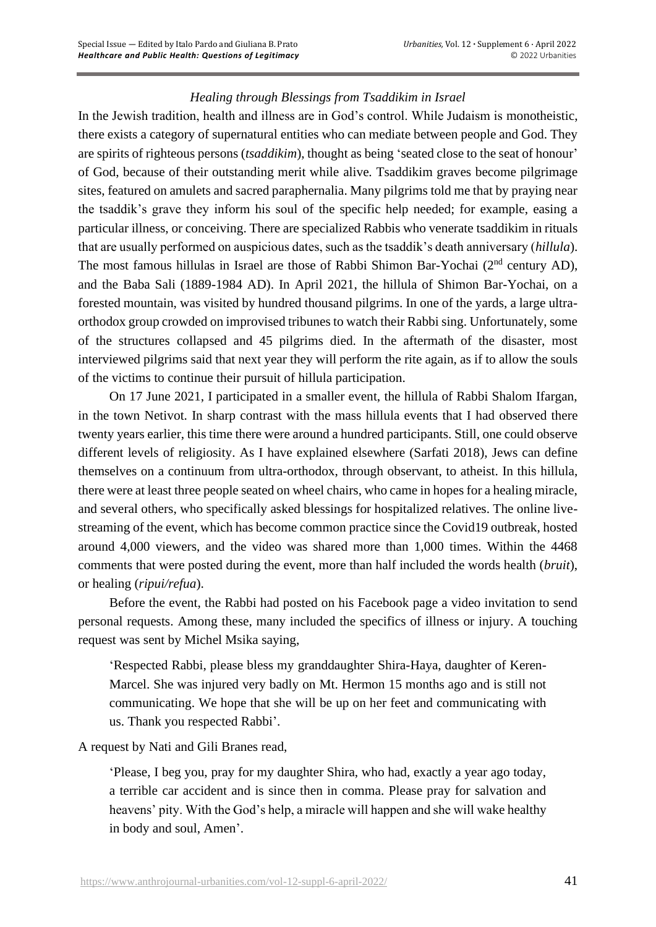## *Healing through Blessings from Tsaddikim in Israel*

In the Jewish tradition, health and illness are in God's control. While Judaism is monotheistic, there exists a category of supernatural entities who can mediate between people and God. They are spirits of righteous persons (*tsaddikim*), thought as being 'seated close to the seat of honour' of God, because of their outstanding merit while alive*.* Tsaddikim graves become pilgrimage sites, featured on amulets and sacred paraphernalia. Many pilgrims told me that by praying near the tsaddik's grave they inform his soul of the specific help needed; for example, easing a particular illness, or conceiving. There are specialized Rabbis who venerate tsaddikim in rituals that are usually performed on auspicious dates, such as the tsaddik's death anniversary (*hillula*). The most famous hillulas in Israel are those of Rabbi Shimon Bar-Yochai (2<sup>nd</sup> century AD), and the Baba Sali (1889-1984 AD). In April 2021, the hillula of Shimon Bar-Yochai, on a forested mountain, was visited by hundred thousand pilgrims. In one of the yards, a large ultraorthodox group crowded on improvised tribunes to watch their Rabbi sing. Unfortunately, some of the structures collapsed and 45 pilgrims died. In the aftermath of the disaster, most interviewed pilgrims said that next year they will perform the rite again, as if to allow the souls of the victims to continue their pursuit of hillula participation.

On 17 June 2021, I participated in a smaller event, the hillula of Rabbi Shalom Ifargan, in the town Netivot. In sharp contrast with the mass hillula events that I had observed there twenty years earlier, this time there were around a hundred participants. Still, one could observe different levels of religiosity. As I have explained elsewhere (Sarfati 2018), Jews can define themselves on a continuum from ultra-orthodox, through observant, to atheist. In this hillula, there were at least three people seated on wheel chairs, who came in hopes for a healing miracle, and several others, who specifically asked blessings for hospitalized relatives. The online livestreaming of the event, which has become common practice since the Covid19 outbreak, hosted around 4,000 viewers, and the video was shared more than 1,000 times. Within the 4468 comments that were posted during the event, more than half included the words health (*bruit*), or healing (*ripui/refua*).

Before the event, the Rabbi had posted on his Facebook page a video invitation to send personal requests. Among these, many included the specifics of illness or injury. A touching request was sent by Michel Msika saying,

'Respected Rabbi, please bless my granddaughter Shira-Haya, daughter of Keren-Marcel. She was injured very badly on Mt. Hermon 15 months ago and is still not communicating. We hope that she will be up on her feet and communicating with us. Thank you respected Rabbi'.

A request by Nati and Gili Branes read,

'Please, I beg you, pray for my daughter Shira, who had, exactly a year ago today, a terrible car accident and is since then in comma. Please pray for salvation and heavens' pity. With the God's help, a miracle will happen and she will wake healthy in body and soul, Amen'.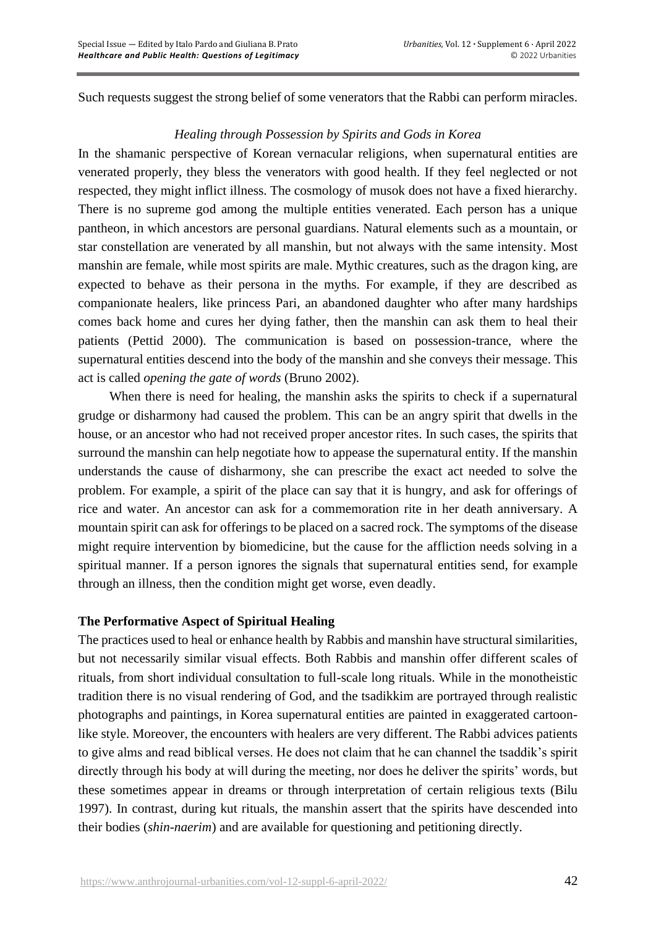Such requests suggest the strong belief of some venerators that the Rabbi can perform miracles.

## *Healing through Possession by Spirits and Gods in Korea*

In the shamanic perspective of Korean vernacular religions, when supernatural entities are venerated properly, they bless the venerators with good health. If they feel neglected or not respected, they might inflict illness. The cosmology of musok does not have a fixed hierarchy. There is no supreme god among the multiple entities venerated. Each person has a unique pantheon, in which ancestors are personal guardians. Natural elements such as a mountain, or star constellation are venerated by all manshin, but not always with the same intensity. Most manshin are female, while most spirits are male. Mythic creatures, such as the dragon king, are expected to behave as their persona in the myths. For example, if they are described as companionate healers, like princess Pari, an abandoned daughter who after many hardships comes back home and cures her dying father, then the manshin can ask them to heal their patients (Pettid 2000). The communication is based on possession-trance, where the supernatural entities descend into the body of the manshin and she conveys their message. This act is called *opening the gate of words* (Bruno 2002).

When there is need for healing, the manshin asks the spirits to check if a supernatural grudge or disharmony had caused the problem. This can be an angry spirit that dwells in the house, or an ancestor who had not received proper ancestor rites. In such cases, the spirits that surround the manshin can help negotiate how to appease the supernatural entity. If the manshin understands the cause of disharmony, she can prescribe the exact act needed to solve the problem. For example, a spirit of the place can say that it is hungry, and ask for offerings of rice and water. An ancestor can ask for a commemoration rite in her death anniversary. A mountain spirit can ask for offerings to be placed on a sacred rock. The symptoms of the disease might require intervention by biomedicine, but the cause for the affliction needs solving in a spiritual manner. If a person ignores the signals that supernatural entities send, for example through an illness, then the condition might get worse, even deadly.

#### **The Performative Aspect of Spiritual Healing**

The practices used to heal or enhance health by Rabbis and manshin have structural similarities, but not necessarily similar visual effects. Both Rabbis and manshin offer different scales of rituals, from short individual consultation to full-scale long rituals. While in the monotheistic tradition there is no visual rendering of God, and the tsadikkim are portrayed through realistic photographs and paintings, in Korea supernatural entities are painted in exaggerated cartoonlike style. Moreover, the encounters with healers are very different. The Rabbi advices patients to give alms and read biblical verses. He does not claim that he can channel the tsaddik's spirit directly through his body at will during the meeting, nor does he deliver the spirits' words, but these sometimes appear in dreams or through interpretation of certain religious texts (Bilu 1997). In contrast, during kut rituals, the manshin assert that the spirits have descended into their bodies (*shin-naerim*) and are available for questioning and petitioning directly.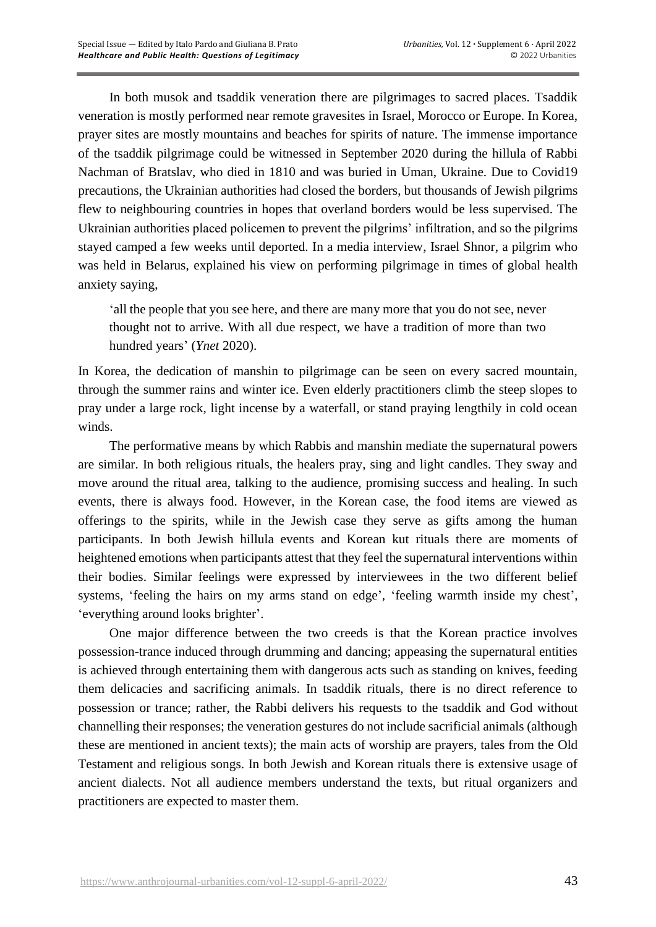In both musok and tsaddik veneration there are pilgrimages to sacred places. Tsaddik veneration is mostly performed near remote gravesites in Israel, Morocco or Europe. In Korea, prayer sites are mostly mountains and beaches for spirits of nature. The immense importance of the tsaddik pilgrimage could be witnessed in September 2020 during the hillula of Rabbi Nachman of Bratslav, who died in 1810 and was buried in Uman, Ukraine. Due to Covid19 precautions, the Ukrainian authorities had closed the borders, but thousands of Jewish pilgrims flew to neighbouring countries in hopes that overland borders would be less supervised. The Ukrainian authorities placed policemen to prevent the pilgrims' infiltration, and so the pilgrims stayed camped a few weeks until deported. In a media interview, Israel Shnor, a pilgrim who was held in Belarus, explained his view on performing pilgrimage in times of global health anxiety saying,

'all the people that you see here, and there are many more that you do not see, never thought not to arrive. With all due respect, we have a tradition of more than two hundred years' (*Ynet* 2020).

In Korea, the dedication of manshin to pilgrimage can be seen on every sacred mountain, through the summer rains and winter ice. Even elderly practitioners climb the steep slopes to pray under a large rock, light incense by a waterfall, or stand praying lengthily in cold ocean winds.

The performative means by which Rabbis and manshin mediate the supernatural powers are similar. In both religious rituals, the healers pray, sing and light candles. They sway and move around the ritual area, talking to the audience, promising success and healing. In such events, there is always food. However, in the Korean case, the food items are viewed as offerings to the spirits, while in the Jewish case they serve as gifts among the human participants. In both Jewish hillula events and Korean kut rituals there are moments of heightened emotions when participants attest that they feel the supernatural interventions within their bodies. Similar feelings were expressed by interviewees in the two different belief systems, 'feeling the hairs on my arms stand on edge', 'feeling warmth inside my chest', 'everything around looks brighter'.

One major difference between the two creeds is that the Korean practice involves possession-trance induced through drumming and dancing; appeasing the supernatural entities is achieved through entertaining them with dangerous acts such as standing on knives, feeding them delicacies and sacrificing animals. In tsaddik rituals, there is no direct reference to possession or trance; rather, the Rabbi delivers his requests to the tsaddik and God without channelling their responses; the veneration gestures do not include sacrificial animals (although these are mentioned in ancient texts); the main acts of worship are prayers, tales from the Old Testament and religious songs. In both Jewish and Korean rituals there is extensive usage of ancient dialects. Not all audience members understand the texts, but ritual organizers and practitioners are expected to master them.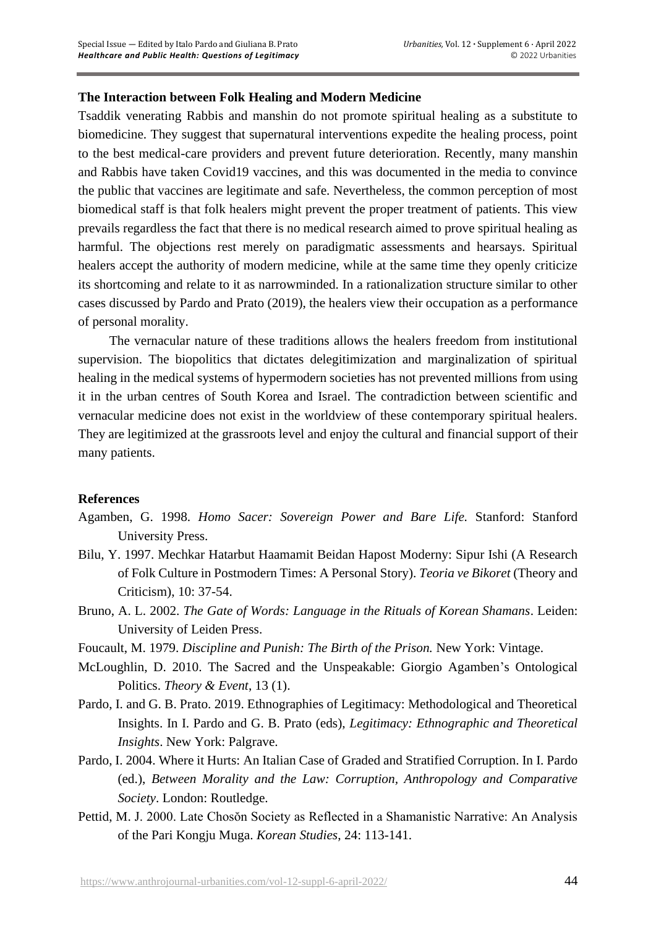#### **The Interaction between Folk Healing and Modern Medicine**

Tsaddik venerating Rabbis and manshin do not promote spiritual healing as a substitute to biomedicine. They suggest that supernatural interventions expedite the healing process, point to the best medical-care providers and prevent future deterioration. Recently, many manshin and Rabbis have taken Covid19 vaccines, and this was documented in the media to convince the public that vaccines are legitimate and safe. Nevertheless, the common perception of most biomedical staff is that folk healers might prevent the proper treatment of patients. This view prevails regardless the fact that there is no medical research aimed to prove spiritual healing as harmful. The objections rest merely on paradigmatic assessments and hearsays. Spiritual healers accept the authority of modern medicine, while at the same time they openly criticize its shortcoming and relate to it as narrowminded. In a rationalization structure similar to other cases discussed by Pardo and Prato (2019), the healers view their occupation as a performance of personal morality.

The vernacular nature of these traditions allows the healers freedom from institutional supervision. The biopolitics that dictates delegitimization and marginalization of spiritual healing in the medical systems of hypermodern societies has not prevented millions from using it in the urban centres of South Korea and Israel. The contradiction between scientific and vernacular medicine does not exist in the worldview of these contemporary spiritual healers. They are legitimized at the grassroots level and enjoy the cultural and financial support of their many patients.

#### **References**

- Agamben, G. 1998. *Homo Sacer: Sovereign Power and Bare Life.* Stanford: Stanford University Press.
- Bilu, Y. 1997. Mechkar Hatarbut Haamamit Beidan Hapost Moderny: Sipur Ishi (A Research of Folk Culture in Postmodern Times: A Personal Story). *Teoria ve Bikoret* (Theory and Criticism), 10: 37-54.
- Bruno, A. L. 2002. *The Gate of Words: Language in the Rituals of Korean Shamans*. Leiden: University of Leiden Press.
- Foucault, M. 1979. *Discipline and Punish: The Birth of the Prison.* New York: Vintage.
- McLoughlin, D. 2010. The Sacred and the Unspeakable: Giorgio Agamben's Ontological Politics. *Theory & Event*, 13 (1).
- Pardo, I. and G. B. Prato. 2019. Ethnographies of Legitimacy: Methodological and Theoretical Insights. In I. Pardo and G. B. Prato (eds), *Legitimacy: Ethnographic and Theoretical Insights*. New York: Palgrave.
- Pardo, I. 2004. Where it Hurts: An Italian Case of Graded and Stratified Corruption. In I. Pardo (ed.), *Between Morality and the Law: Corruption, Anthropology and Comparative Society*. London: Routledge.
- Pettid, M. J. 2000. Late Chosŏn Society as Reflected in a Shamanistic Narrative: An Analysis of the Pari Kongju Muga. *Korean Studies*, 24: 113-141.